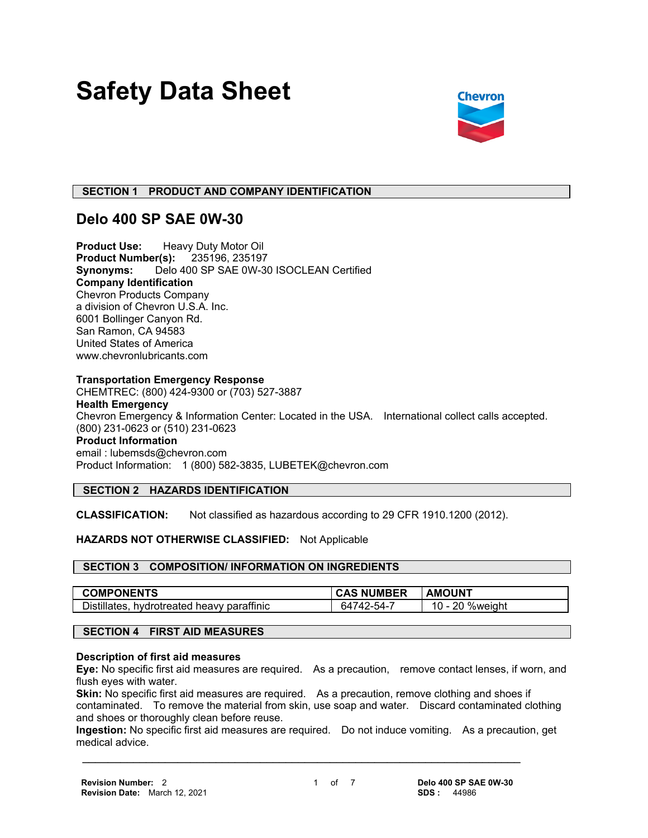# **Safety Data Sheet**



# **SECTION 1 PRODUCT AND COMPANY IDENTIFICATION**

# **Delo 400 SP SAE 0W-30**

**Product Use:** Heavy Duty Motor Oil **Product Number(s):** 235196, 235197 **Synonyms:** Delo 400 SP SAE 0W-30 ISOCLEAN Certified **Company Identification** Chevron Products Company a division of Chevron U.S.A. Inc. 6001 Bollinger Canyon Rd. San Ramon, CA 94583 United States of America www.chevronlubricants.com

# **Transportation Emergency Response**

CHEMTREC: (800) 424-9300 or (703) 527-3887 **Health Emergency** Chevron Emergency & Information Center: Located in the USA. International collect calls accepted. (800) 231-0623 or (510) 231-0623 **Product Information** email : lubemsds@chevron.com Product Information: 1 (800) 582-3835, LUBETEK@chevron.com

# **SECTION 2 HAZARDS IDENTIFICATION**

**CLASSIFICATION:** Not classified as hazardous according to 29 CFR 1910.1200 (2012).

# **HAZARDS NOT OTHERWISE CLASSIFIED:** Not Applicable

#### **SECTION 3 COMPOSITION/ INFORMATION ON INGREDIENTS**

| <b>COMPONENTS</b>                               | <b>NUMBER</b> | <b>AMOUNT</b>               |
|-------------------------------------------------|---------------|-----------------------------|
| Distillates.<br>, hydrotreated heavy paraffinic | -54-.<br>64   | nn<br>%weight<br><u>u -</u> |

# **SECTION 4 FIRST AID MEASURES**

# **Description of first aid measures**

**Eye:** No specific first aid measures are required. As a precaution, remove contact lenses, if worn, and flush eyes with water.

**Skin:** No specific first aid measures are required. As a precaution, remove clothing and shoes if contaminated. To remove the material from skin, use soap and water. Discard contaminated clothing and shoes or thoroughly clean before reuse.

**Ingestion:** No specific first aid measures are required. Do not induce vomiting. As a precaution, get medical advice.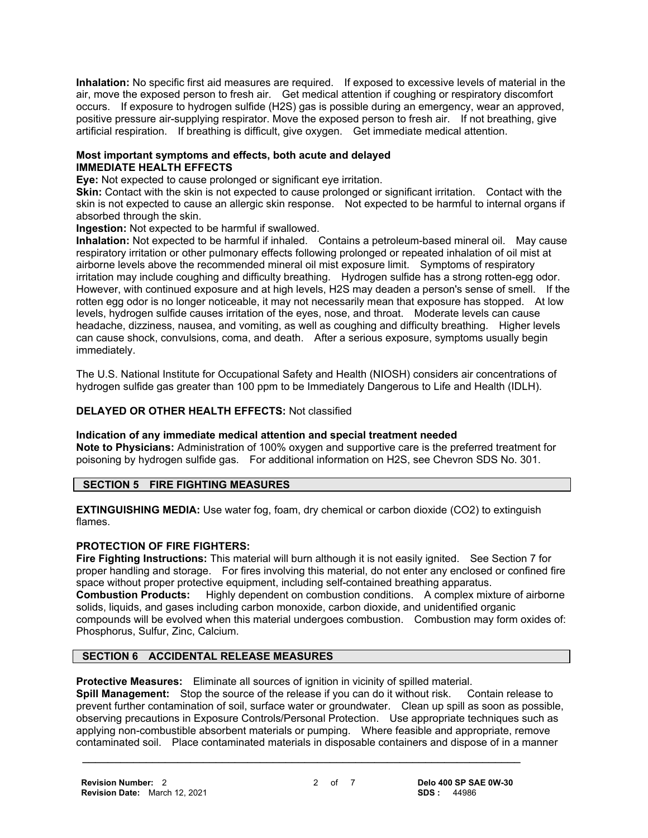**Inhalation:** No specific first aid measures are required. If exposed to excessive levels of material in the air, move the exposed person to fresh air. Get medical attention if coughing or respiratory discomfort occurs. If exposure to hydrogen sulfide (H2S) gas is possible during an emergency, wear an approved, positive pressure air-supplying respirator. Move the exposed person to fresh air. If not breathing, give artificial respiration. If breathing is difficult, give oxygen. Get immediate medical attention.

# **Most important symptoms and effects, both acute and delayed IMMEDIATE HEALTH EFFECTS**

**Eye:** Not expected to cause prolonged or significant eye irritation.

**Skin:** Contact with the skin is not expected to cause prolonged or significant irritation. Contact with the skin is not expected to cause an allergic skin response. Not expected to be harmful to internal organs if absorbed through the skin.

**Ingestion:** Not expected to be harmful if swallowed.

**Inhalation:** Not expected to be harmful if inhaled. Contains a petroleum-based mineral oil. May cause respiratory irritation or other pulmonary effects following prolonged or repeated inhalation of oil mist at airborne levels above the recommended mineral oil mist exposure limit. Symptoms of respiratory irritation may include coughing and difficulty breathing. Hydrogen sulfide has a strong rotten-egg odor. However, with continued exposure and at high levels, H2S may deaden a person's sense of smell. If the rotten egg odor is no longer noticeable, it may not necessarily mean that exposure has stopped. At low levels, hydrogen sulfide causes irritation of the eyes, nose, and throat. Moderate levels can cause headache, dizziness, nausea, and vomiting, as well as coughing and difficulty breathing. Higher levels can cause shock, convulsions, coma, and death. After a serious exposure, symptoms usually begin immediately.

The U.S. National Institute for Occupational Safety and Health (NIOSH) considers air concentrations of hydrogen sulfide gas greater than 100 ppm to be Immediately Dangerous to Life and Health (IDLH).

# **DELAYED OR OTHER HEALTH EFFECTS:** Not classified

# **Indication of any immediate medical attention and special treatment needed**

**Note to Physicians:** Administration of 100% oxygen and supportive care is the preferred treatment for poisoning by hydrogen sulfide gas. For additional information on H2S, see Chevron SDS No. 301.

# **SECTION 5 FIRE FIGHTING MEASURES**

**EXTINGUISHING MEDIA:** Use water fog, foam, dry chemical or carbon dioxide (CO2) to extinguish flames.

# **PROTECTION OF FIRE FIGHTERS:**

**Fire Fighting Instructions:** This material will burn although it is not easily ignited. See Section 7 for proper handling and storage. For fires involving this material, do not enter any enclosed or confined fire space without proper protective equipment, including self-contained breathing apparatus.<br>**Combustion Products:** Highly dependent on combustion conditions. A complex mix **Combustion Products:** Highly dependent on combustion conditions. A complex mixture of airborne solids, liquids, and gases including carbon monoxide, carbon dioxide, and unidentified organic compounds will be evolved when this material undergoes combustion. Combustion may form oxides of: Phosphorus, Sulfur, Zinc, Calcium.

# **SECTION 6 ACCIDENTAL RELEASE MEASURES**

**Protective Measures:** Eliminate all sources of ignition in vicinity of spilled material.

**Spill Management:** Stop the source of the release if you can do it without risk. Contain release to prevent further contamination of soil, surface water or groundwater. Clean up spill as soon as possible, observing precautions in Exposure Controls/Personal Protection. Use appropriate techniques such as applying non-combustible absorbent materials or pumping. Where feasible and appropriate, remove contaminated soil. Place contaminated materials in disposable containers and dispose of in a manner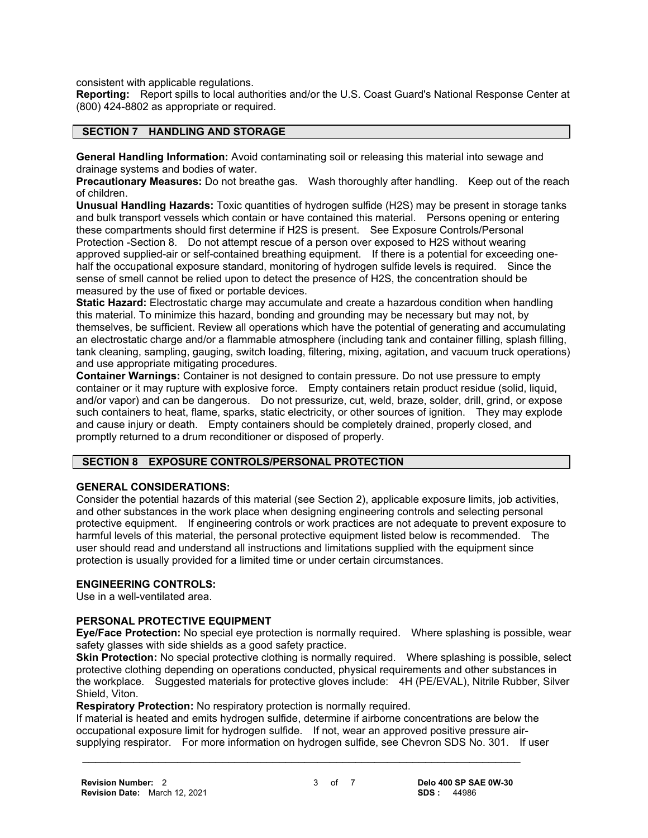consistent with applicable regulations.

**Reporting:** Report spills to local authorities and/or the U.S. Coast Guard's National Response Center at (800) 424-8802 as appropriate or required.

# **SECTION 7 HANDLING AND STORAGE**

**General Handling Information:** Avoid contaminating soil or releasing this material into sewage and drainage systems and bodies of water.

**Precautionary Measures:** Do not breathe gas. Wash thoroughly after handling. Keep out of the reach of children.

**Unusual Handling Hazards:** Toxic quantities of hydrogen sulfide (H2S) may be present in storage tanks and bulk transport vessels which contain or have contained this material. Persons opening or entering these compartments should first determine if H2S is present. See Exposure Controls/Personal Protection -Section 8. Do not attempt rescue of a person over exposed to H2S without wearing approved supplied-air or self-contained breathing equipment. If there is a potential for exceeding onehalf the occupational exposure standard, monitoring of hydrogen sulfide levels is required. Since the sense of smell cannot be relied upon to detect the presence of H2S, the concentration should be measured by the use of fixed or portable devices.

**Static Hazard:** Electrostatic charge may accumulate and create a hazardous condition when handling this material. To minimize this hazard, bonding and grounding may be necessary but may not, by themselves, be sufficient. Review all operations which have the potential of generating and accumulating an electrostatic charge and/or a flammable atmosphere (including tank and container filling, splash filling, tank cleaning, sampling, gauging, switch loading, filtering, mixing, agitation, and vacuum truck operations) and use appropriate mitigating procedures.

**Container Warnings:** Container is not designed to contain pressure. Do not use pressure to empty container or it may rupture with explosive force. Empty containers retain product residue (solid, liquid, and/or vapor) and can be dangerous. Do not pressurize, cut, weld, braze, solder, drill, grind, or expose such containers to heat, flame, sparks, static electricity, or other sources of ignition. They may explode and cause injury or death. Empty containers should be completely drained, properly closed, and promptly returned to a drum reconditioner or disposed of properly.

# **SECTION 8 EXPOSURE CONTROLS/PERSONAL PROTECTION**

#### **GENERAL CONSIDERATIONS:**

Consider the potential hazards of this material (see Section 2), applicable exposure limits, job activities, and other substances in the work place when designing engineering controls and selecting personal protective equipment. If engineering controls or work practices are not adequate to prevent exposure to harmful levels of this material, the personal protective equipment listed below is recommended. The user should read and understand all instructions and limitations supplied with the equipment since protection is usually provided for a limited time or under certain circumstances.

#### **ENGINEERING CONTROLS:**

Use in a well-ventilated area.

# **PERSONAL PROTECTIVE EQUIPMENT**

**Eye/Face Protection:** No special eye protection is normally required. Where splashing is possible, wear safety glasses with side shields as a good safety practice.

**Skin Protection:** No special protective clothing is normally required. Where splashing is possible, select protective clothing depending on operations conducted, physical requirements and other substances in the workplace. Suggested materials for protective gloves include: 4H (PE/EVAL), Nitrile Rubber, Silver Shield, Viton.

**Respiratory Protection:** No respiratory protection is normally required.

If material is heated and emits hydrogen sulfide, determine if airborne concentrations are below the occupational exposure limit for hydrogen sulfide. If not, wear an approved positive pressure airsupplying respirator. For more information on hydrogen sulfide, see Chevron SDS No. 301. If user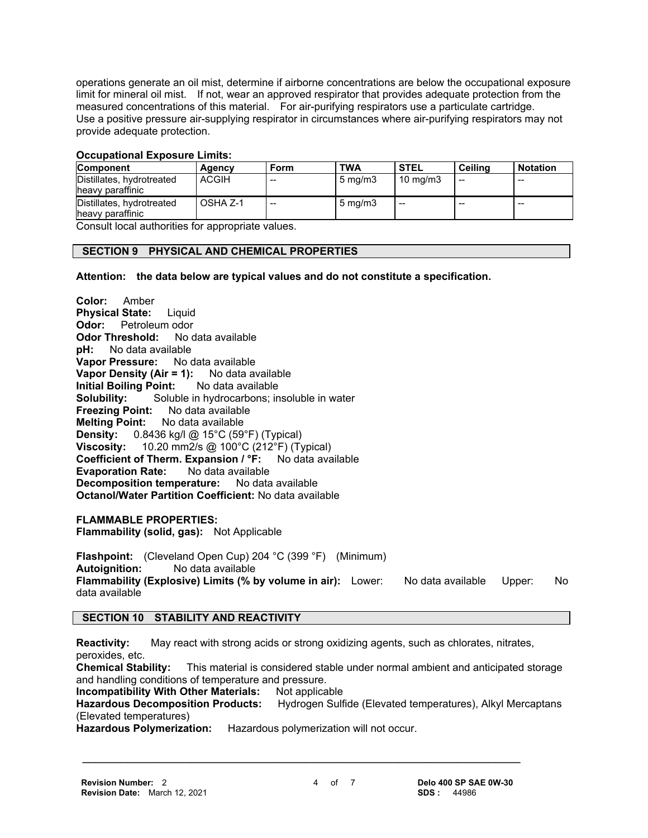operations generate an oil mist, determine if airborne concentrations are below the occupational exposure limit for mineral oil mist. If not, wear an approved respirator that provides adequate protection from the measured concentrations of this material. For air-purifying respirators use a particulate cartridge. Use a positive pressure air-supplying respirator in circumstances where air-purifying respirators may not provide adequate protection.

# **Occupational Exposure Limits:**

| <b>Component</b>                              | Agency       | Form  | <b>TWA</b>         | <b>STEL</b>         | Ceilina | <b>Notation</b> |
|-----------------------------------------------|--------------|-------|--------------------|---------------------|---------|-----------------|
| Distillates, hydrotreated<br>heavy paraffinic | <b>ACGIH</b> | $- -$ | $5 \text{ mg/m}$   | $10 \text{ ma/m}$ 3 | --      | --              |
| Distillates, hydrotreated<br>heavy paraffinic | OSHA Z-1     | $- -$ | $5 \text{ ma/m}$ 3 | $- -$               | --      | $-$             |

Consult local authorities for appropriate values.

# **SECTION 9 PHYSICAL AND CHEMICAL PROPERTIES**

**Attention: the data below are typical values and do not constitute a specification.**

**Color:** Amber **Physical State:** Liquid **Odor:** Petroleum odor **Odor Threshold:** No data available **pH:** No data available **Vapor Pressure:** No data available **Vapor Density (Air = 1):** No data available **Initial Boiling Point:** No data available **Solubility:** Soluble in hydrocarbons; insoluble in water **Freezing Point:** No data available **Melting Point:** No data available **Density:** 0.8436 kg/l @ 15°C (59°F) (Typical) **Viscosity:** 10.20 mm2/s @ 100°C (212°F) (Typical) **Coefficient of Therm. Expansion / °F:** No data available<br>**Evaporation Rate:** No data available **Evaporation Rate: Decomposition temperature:** No data available **Octanol/Water Partition Coefficient:** No data available

**FLAMMABLE PROPERTIES: Flammability (solid, gas):** Not Applicable

**Flashpoint:** (Cleveland Open Cup) 204 °C (399 °F) (Minimum) **Autoignition:** No data available **Flammability (Explosive) Limits (% by volume in air):** Lower: No data available Upper: No data available

# **SECTION 10 STABILITY AND REACTIVITY**

**Reactivity:** May react with strong acids or strong oxidizing agents, such as chlorates, nitrates, peroxides, etc. **Chemical Stability:** This material is considered stable under normal ambient and anticipated storage and handling conditions of temperature and pressure.

**Incompatibility With Other Materials: Not applicable** 

**Hazardous Decomposition Products:** Hydrogen Sulfide (Elevated temperatures), Alkyl Mercaptans (Elevated temperatures)

 **\_\_\_\_\_\_\_\_\_\_\_\_\_\_\_\_\_\_\_\_\_\_\_\_\_\_\_\_\_\_\_\_\_\_\_\_\_\_\_\_\_\_\_\_\_\_\_\_\_\_\_\_\_\_\_\_\_\_\_\_\_\_\_\_\_\_\_\_\_**

**Hazardous Polymerization:** Hazardous polymerization will not occur.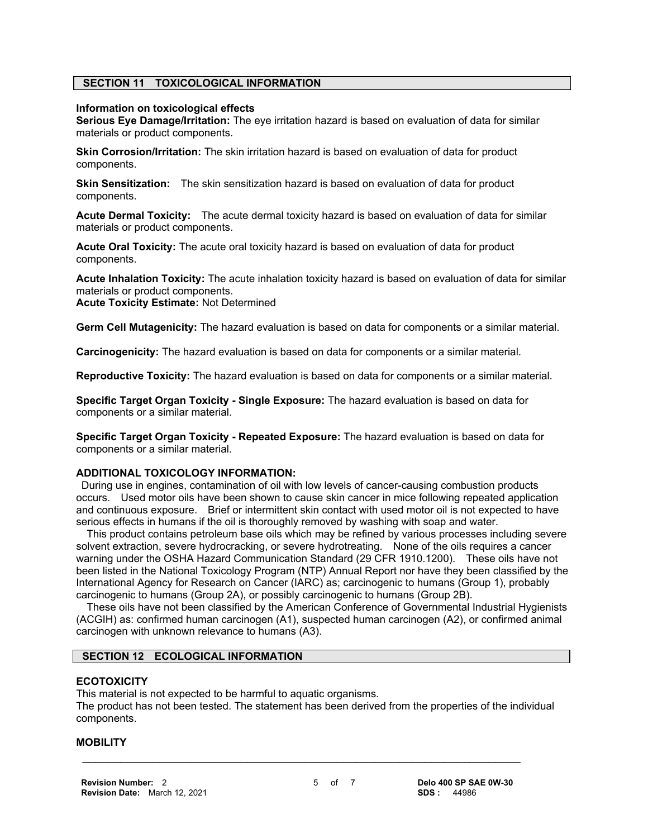# **SECTION 11 TOXICOLOGICAL INFORMATION**

#### **Information on toxicological effects**

**Serious Eye Damage/Irritation:** The eye irritation hazard is based on evaluation of data for similar materials or product components.

**Skin Corrosion/Irritation:** The skin irritation hazard is based on evaluation of data for product components.

**Skin Sensitization:** The skin sensitization hazard is based on evaluation of data for product components.

**Acute Dermal Toxicity:** The acute dermal toxicity hazard is based on evaluation of data for similar materials or product components.

**Acute Oral Toxicity:** The acute oral toxicity hazard is based on evaluation of data for product components.

**Acute Inhalation Toxicity:** The acute inhalation toxicity hazard is based on evaluation of data for similar materials or product components. **Acute Toxicity Estimate:** Not Determined

**Germ Cell Mutagenicity:** The hazard evaluation is based on data for components or a similar material.

**Carcinogenicity:** The hazard evaluation is based on data for components or a similar material.

**Reproductive Toxicity:** The hazard evaluation is based on data for components or a similar material.

**Specific Target Organ Toxicity - Single Exposure:** The hazard evaluation is based on data for components or a similar material.

**Specific Target Organ Toxicity - Repeated Exposure:** The hazard evaluation is based on data for components or a similar material.

# **ADDITIONAL TOXICOLOGY INFORMATION:**

 During use in engines, contamination of oil with low levels of cancer-causing combustion products occurs. Used motor oils have been shown to cause skin cancer in mice following repeated application and continuous exposure. Brief or intermittent skin contact with used motor oil is not expected to have serious effects in humans if the oil is thoroughly removed by washing with soap and water.

 This product contains petroleum base oils which may be refined by various processes including severe solvent extraction, severe hydrocracking, or severe hydrotreating. None of the oils requires a cancer warning under the OSHA Hazard Communication Standard (29 CFR 1910.1200). These oils have not been listed in the National Toxicology Program (NTP) Annual Report nor have they been classified by the International Agency for Research on Cancer (IARC) as; carcinogenic to humans (Group 1), probably carcinogenic to humans (Group 2A), or possibly carcinogenic to humans (Group 2B).

 These oils have not been classified by the American Conference of Governmental Industrial Hygienists (ACGIH) as: confirmed human carcinogen (A1), suspected human carcinogen (A2), or confirmed animal carcinogen with unknown relevance to humans (A3).

#### **SECTION 12 ECOLOGICAL INFORMATION**

#### **ECOTOXICITY**

This material is not expected to be harmful to aquatic organisms. The product has not been tested. The statement has been derived from the properties of the individual components.

 **\_\_\_\_\_\_\_\_\_\_\_\_\_\_\_\_\_\_\_\_\_\_\_\_\_\_\_\_\_\_\_\_\_\_\_\_\_\_\_\_\_\_\_\_\_\_\_\_\_\_\_\_\_\_\_\_\_\_\_\_\_\_\_\_\_\_\_\_\_**

#### **MOBILITY**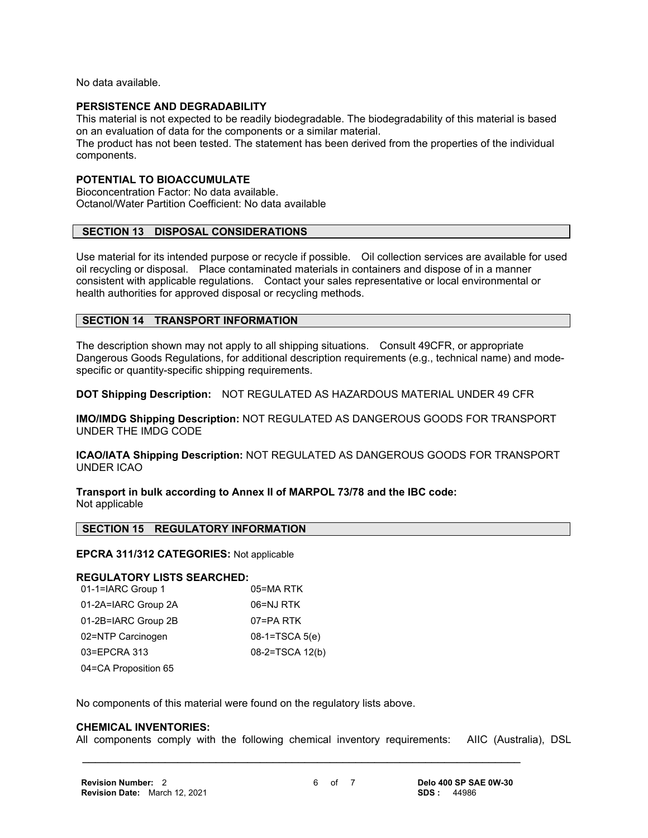No data available.

#### **PERSISTENCE AND DEGRADABILITY**

This material is not expected to be readily biodegradable. The biodegradability of this material is based on an evaluation of data for the components or a similar material.

The product has not been tested. The statement has been derived from the properties of the individual components.

#### **POTENTIAL TO BIOACCUMULATE**

Bioconcentration Factor: No data available. Octanol/Water Partition Coefficient: No data available

# **SECTION 13 DISPOSAL CONSIDERATIONS**

Use material for its intended purpose or recycle if possible. Oil collection services are available for used oil recycling or disposal. Place contaminated materials in containers and dispose of in a manner consistent with applicable regulations. Contact your sales representative or local environmental or health authorities for approved disposal or recycling methods.

# **SECTION 14 TRANSPORT INFORMATION**

The description shown may not apply to all shipping situations. Consult 49CFR, or appropriate Dangerous Goods Regulations, for additional description requirements (e.g., technical name) and modespecific or quantity-specific shipping requirements.

**DOT Shipping Description:** NOT REGULATED AS HAZARDOUS MATERIAL UNDER 49 CFR

**IMO/IMDG Shipping Description:** NOT REGULATED AS DANGEROUS GOODS FOR TRANSPORT UNDER THE IMDG CODE

**ICAO/IATA Shipping Description:** NOT REGULATED AS DANGEROUS GOODS FOR TRANSPORT UNDER ICAO

**Transport in bulk according to Annex II of MARPOL 73/78 and the IBC code:** Not applicable

#### **SECTION 15 REGULATORY INFORMATION**

#### **EPCRA 311/312 CATEGORIES:** Not applicable

#### **REGULATORY LISTS SEARCHED:**

| 01-1=IARC Group 1    | 05=MA RTK       |
|----------------------|-----------------|
| 01-2A=IARC Group 2A  | 06=NJ RTK       |
| 01-2B=IARC Group 2B  | 07=PA RTK       |
| 02=NTP Carcinogen    | 08-1=TSCA 5(e)  |
| 03=EPCRA 313         | 08-2=TSCA 12(b) |
| 04=CA Proposition 65 |                 |

No components of this material were found on the regulatory lists above.

#### **CHEMICAL INVENTORIES:**

All components comply with the following chemical inventory requirements: AIIC (Australia), DSL